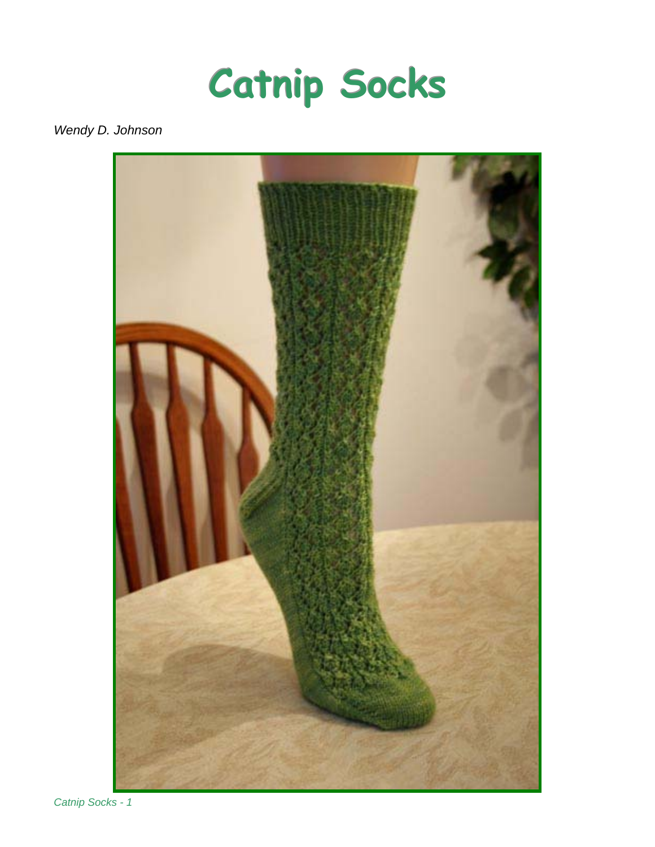

# *Wendy D. Johnson*



*Catnip Socks - 1*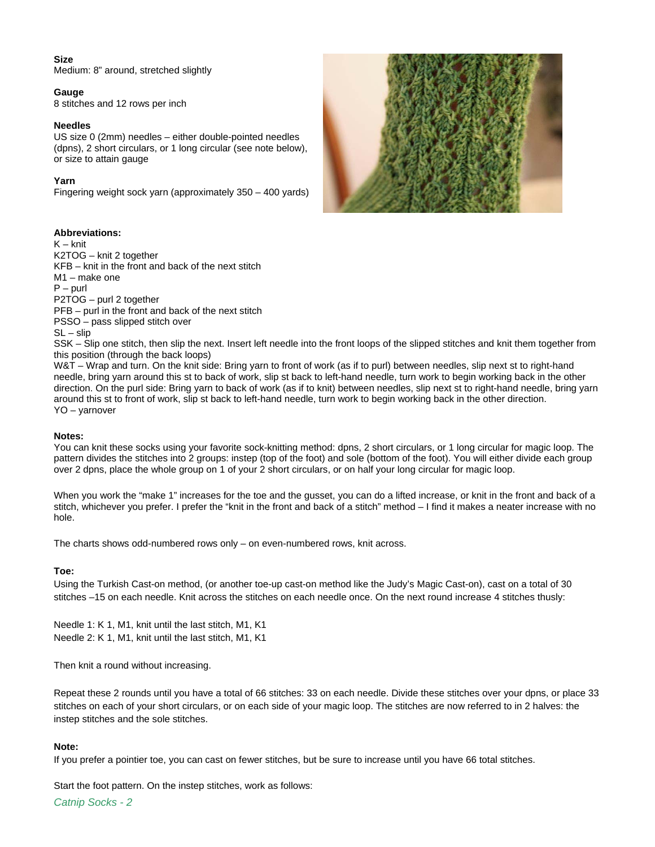## **Size**

Medium: 8" around, stretched slightly

## **Gauge**

8 stitches and 12 rows per inch

#### **Needles**

US size 0 (2mm) needles – either double-pointed needles (dpns), 2 short circulars, or 1 long circular (see note below), or size to attain gauge

## **Yarn**

Fingering weight sock yarn (approximately 350 – 400 yards)

## **Abbreviations:**

K – knit K2TOG – knit 2 together KFB – knit in the front and back of the next stitch M1 – make one  $P -$  purl P2TOG – purl 2 together PFB – purl in the front and back of the next stitch PSSO – pass slipped stitch over  $SL -$  slip



SSK – Slip one stitch, then slip the next. Insert left needle into the front loops of the slipped stitches and knit them together from this position (through the back loops)

W&T – Wrap and turn. On the knit side: Bring yarn to front of work (as if to purl) between needles, slip next st to right-hand needle, bring yarn around this st to back of work, slip st back to left-hand needle, turn work to begin working back in the other direction. On the purl side: Bring yarn to back of work (as if to knit) between needles, slip next st to right-hand needle, bring yarn around this st to front of work, slip st back to left-hand needle, turn work to begin working back in the other direction. YO – yarnover

## **Notes:**

You can knit these socks using your favorite sock-knitting method: dpns, 2 short circulars, or 1 long circular for magic loop. The pattern divides the stitches into 2 groups: instep (top of the foot) and sole (bottom of the foot). You will either divide each group over 2 dpns, place the whole group on 1 of your 2 short circulars, or on half your long circular for magic loop.

When you work the "make 1" increases for the toe and the gusset, you can do a lifted increase, or knit in the front and back of a stitch, whichever you prefer. I prefer the "knit in the front and back of a stitch" method – I find it makes a neater increase with no hole.

The charts shows odd-numbered rows only – on even-numbered rows, knit across.

## **Toe:**

Using the Turkish Cast-on method, (or another toe-up cast-on method like the Judy's Magic Cast-on), cast on a total of 30 stitches –15 on each needle. Knit across the stitches on each needle once. On the next round increase 4 stitches thusly:

Needle 1: K 1, M1, knit until the last stitch, M1, K1 Needle 2: K 1, M1, knit until the last stitch, M1, K1

Then knit a round without increasing.

Repeat these 2 rounds until you have a total of 66 stitches: 33 on each needle. Divide these stitches over your dpns, or place 33 stitches on each of your short circulars, or on each side of your magic loop. The stitches are now referred to in 2 halves: the instep stitches and the sole stitches.

## **Note:**

If you prefer a pointier toe, you can cast on fewer stitches, but be sure to increase until you have 66 total stitches.

Start the foot pattern. On the instep stitches, work as follows: